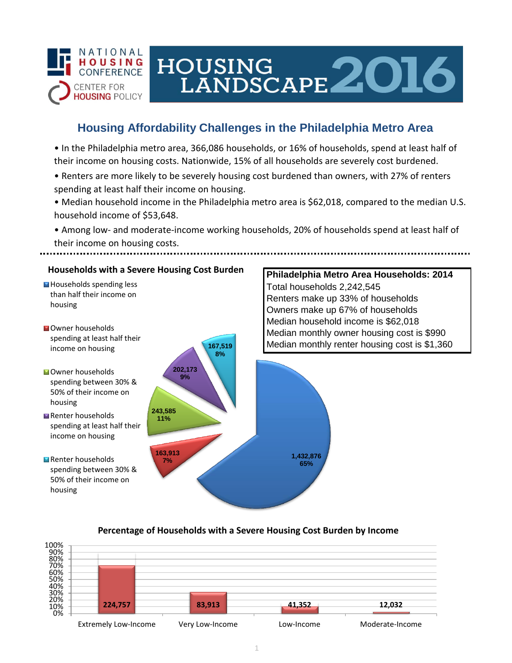

# HOUSING LANDSCAPE 2016

## **Housing Affordability Challenges in the Philadelphia Metro Area**

• In the Philadelphia metro area, 366,086 households, or 16% of households, spend at least half of their income on housing costs. Nationwide, 15% of all households are severely cost burdened.

- Renters are more likely to be severely housing cost burdened than owners, with 27% of renters spending at least half their income on housing.
- Median household income in the Philadelphia metro area is \$62,018, compared to the median U.S. household income of \$53,648.

• Among low- and moderate-income working households, 20% of households spend at least half of their income on housing costs.



### **Percentage of Households with a Severe Housing Cost Burden by Income**